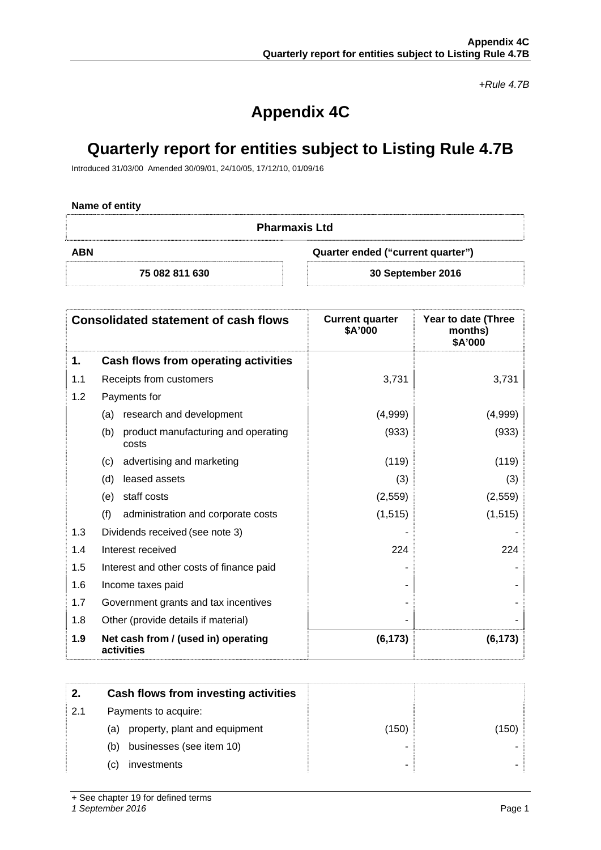*+Rule 4.7B* 

# **Appendix 4C**

## **Quarterly report for entities subject to Listing Rule 4.7B**

Introduced 31/03/00 Amended 30/09/01, 24/10/05, 17/12/10, 01/09/16

### **Name of entity**

| <b>Pharmaxis Ltd</b>                            |                   |
|-------------------------------------------------|-------------------|
| <b>ABN</b><br>Quarter ended ("current quarter") |                   |
| 75 082 811 630                                  | 30 September 2016 |

|     | <b>Consolidated statement of cash flows</b>                                                                                                                        | <b>Current quarter</b><br>\$A'000 | Year to date (Three<br>months)<br>\$A'000 |
|-----|--------------------------------------------------------------------------------------------------------------------------------------------------------------------|-----------------------------------|-------------------------------------------|
| 1.  | Cash flows from operating activities                                                                                                                               |                                   |                                           |
| 1.1 | Receipts from customers                                                                                                                                            | 3,731                             | 3,731                                     |
| 1.2 | Payments for<br>research and development<br>(a)<br>product manufacturing and operating<br>(b)<br>costs<br>advertising and marketing<br>(c)<br>leased assets<br>(d) |                                   |                                           |
|     |                                                                                                                                                                    | (4,999)                           | (4,999)                                   |
|     |                                                                                                                                                                    | (933)                             | (933)                                     |
|     |                                                                                                                                                                    | (119)                             | (119)                                     |
|     |                                                                                                                                                                    | (3)                               | (3)                                       |
|     | staff costs<br>(e)                                                                                                                                                 | (2, 559)                          | (2, 559)                                  |
|     | (f)<br>administration and corporate costs                                                                                                                          | (1, 515)                          | (1, 515)                                  |
| 1.3 | Dividends received (see note 3)                                                                                                                                    |                                   |                                           |
| 1.4 | Interest received                                                                                                                                                  | 224                               | 224                                       |
| 1.5 | Interest and other costs of finance paid                                                                                                                           |                                   |                                           |
| 1.6 | Income taxes paid                                                                                                                                                  |                                   |                                           |
| 1.7 | Government grants and tax incentives                                                                                                                               |                                   |                                           |
| 1.8 | Other (provide details if material)                                                                                                                                |                                   |                                           |
| 1.9 | Net cash from / (used in) operating<br>activities                                                                                                                  | (6, 173)                          | (6, 173)                                  |

| 2.  | Cash flows from investing activities |       |       |
|-----|--------------------------------------|-------|-------|
| 2.1 | Payments to acquire:                 |       |       |
|     | property, plant and equipment<br>(a) | (150) | (150) |
|     | businesses (see item 10)<br>(b)      |       |       |
|     | investments<br>(C)                   | -     |       |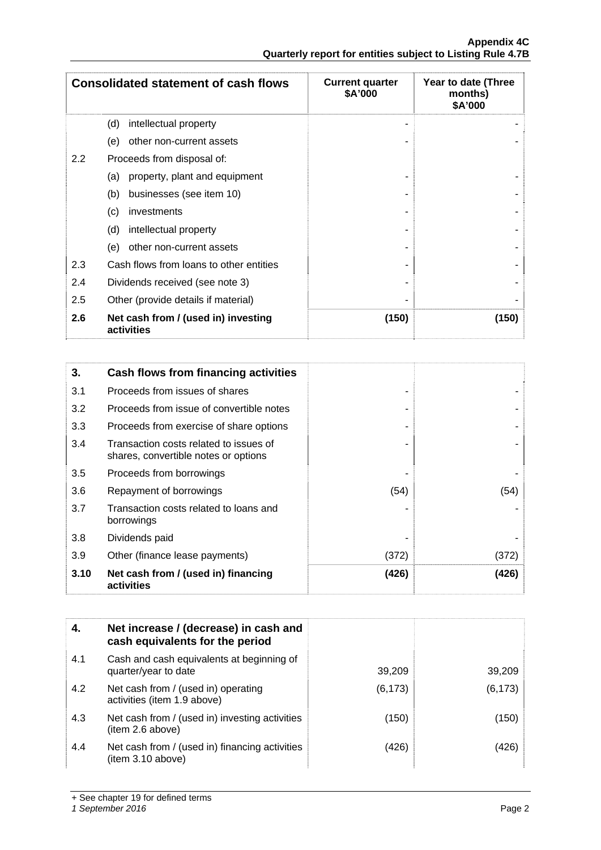|     | <b>Consolidated statement of cash flows</b>       | <b>Current quarter</b><br>\$A'000 | Year to date (Three<br>months)<br>\$A'000 |
|-----|---------------------------------------------------|-----------------------------------|-------------------------------------------|
|     | (d)<br>intellectual property                      |                                   |                                           |
|     | other non-current assets<br>(e)                   |                                   |                                           |
| 2.2 | Proceeds from disposal of:                        |                                   |                                           |
|     | property, plant and equipment<br>(a)              |                                   |                                           |
|     | (b)<br>businesses (see item 10)                   |                                   |                                           |
|     | (c)<br>investments                                |                                   |                                           |
|     | (d)<br>intellectual property                      |                                   |                                           |
|     | (e)<br>other non-current assets                   |                                   |                                           |
| 2.3 | Cash flows from loans to other entities           |                                   |                                           |
| 2.4 | Dividends received (see note 3)                   |                                   |                                           |
| 2.5 | Other (provide details if material)               |                                   |                                           |
| 2.6 | Net cash from / (used in) investing<br>activities | (150)                             | (150)                                     |

| 3.   | Cash flows from financing activities                                           |       |       |
|------|--------------------------------------------------------------------------------|-------|-------|
| 3.1  | Proceeds from issues of shares                                                 |       |       |
| 3.2  | Proceeds from issue of convertible notes                                       |       |       |
| 3.3  | Proceeds from exercise of share options                                        |       |       |
| 3.4  | Transaction costs related to issues of<br>shares, convertible notes or options |       |       |
| 3.5  | Proceeds from borrowings                                                       |       |       |
| 3.6  | Repayment of borrowings                                                        | (54)  | (54)  |
| 3.7  | Transaction costs related to loans and<br>borrowings                           |       |       |
| 3.8  | Dividends paid                                                                 |       |       |
| 3.9  | Other (finance lease payments)                                                 | (372) | (372) |
| 3.10 | Net cash from / (used in) financing<br>activities                              | (426) | (426) |

| 4.  | Net increase / (decrease) in cash and<br>cash equivalents for the period |          |          |
|-----|--------------------------------------------------------------------------|----------|----------|
| 4.1 | Cash and cash equivalents at beginning of<br>quarter/year to date        | 39,209   | 39,209   |
| 4.2 | Net cash from / (used in) operating<br>activities (item 1.9 above)       | (6, 173) | (6, 173) |
| 4.3 | Net cash from / (used in) investing activities<br>(item 2.6 above)       | (150)    | (150)    |
| 4.4 | Net cash from / (used in) financing activities<br>item 3.10 above)       | (426)    | (426)    |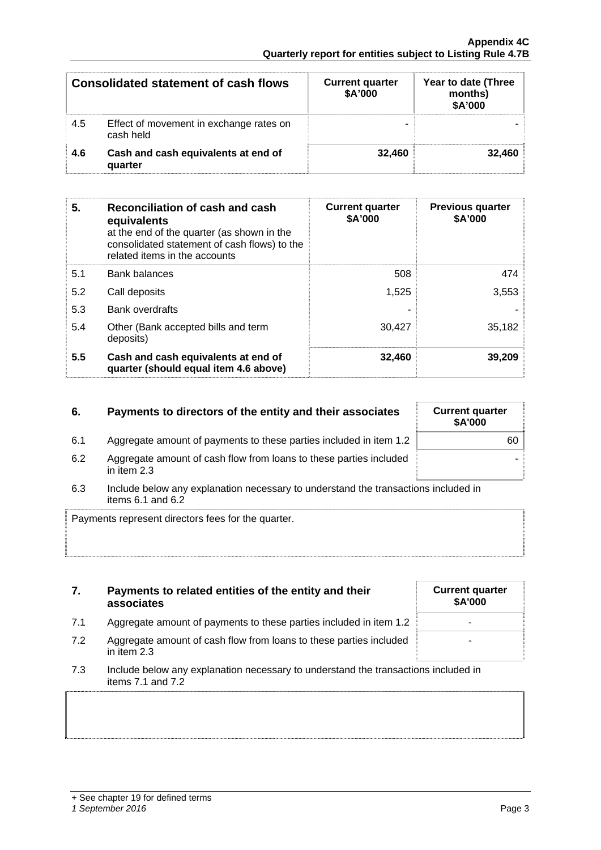| <b>Consolidated statement of cash flows</b><br>4.5<br>Effect of movement in exchange rates on |         | <b>Current quarter</b><br>\$A'000 | Year to date (Three<br>months)<br>\$A'000 |
|-----------------------------------------------------------------------------------------------|---------|-----------------------------------|-------------------------------------------|
| cash held<br>Cash and cash equivalents at end of<br>4.6                                       |         |                                   |                                           |
|                                                                                               | quarter | 32.460                            | 32.460                                    |

| 5.  | Reconciliation of cash and cash<br>equivalents<br>at the end of the quarter (as shown in the<br>consolidated statement of cash flows) to the<br>related items in the accounts | <b>Current quarter</b><br>\$A'000 | <b>Previous quarter</b><br>\$A'000 |
|-----|-------------------------------------------------------------------------------------------------------------------------------------------------------------------------------|-----------------------------------|------------------------------------|
| 5.1 | <b>Bank balances</b>                                                                                                                                                          | 508                               | 474                                |
| 5.2 | Call deposits                                                                                                                                                                 | 1,525                             | 3,553                              |
| 5.3 | <b>Bank overdrafts</b>                                                                                                                                                        |                                   |                                    |
| 5.4 | Other (Bank accepted bills and term<br>deposits)                                                                                                                              | 30,427                            | 35,182                             |
| 5.5 | Cash and cash equivalents at end of<br>quarter (should equal item 4.6 above)                                                                                                  | 32,460                            | 39,209                             |

## **6.** Payments to directors of the entity and their associates

| 6.1 | Aggregate amount of payments to these parties included in item 1.2 |  |  |  |  |
|-----|--------------------------------------------------------------------|--|--|--|--|
|     |                                                                    |  |  |  |  |

- 6.2 Aggregate amount of cash flow from loans to these parties included in item 2.3
- 6.3 Include below any explanation necessary to understand the transactions included in items 6.1 and 6.2

Payments represent directors fees for the quarter.

| 7. | Payments to related entities of the entity and their |
|----|------------------------------------------------------|
|    | associates                                           |

- 7.1 Aggregate amount of payments to these parties included in item 1.2
- 7.2 Aggregate amount of cash flow from loans to these parties included in item 2.3
- 7.3 Include below any explanation necessary to understand the transactions included in items 7.1 and 7.2

| <b>Current quarter</b><br>\$A'000 |
|-----------------------------------|
|                                   |
|                                   |

| <b>Current quarter</b><br>\$A'000 |  |
|-----------------------------------|--|
| 60                                |  |
|                                   |  |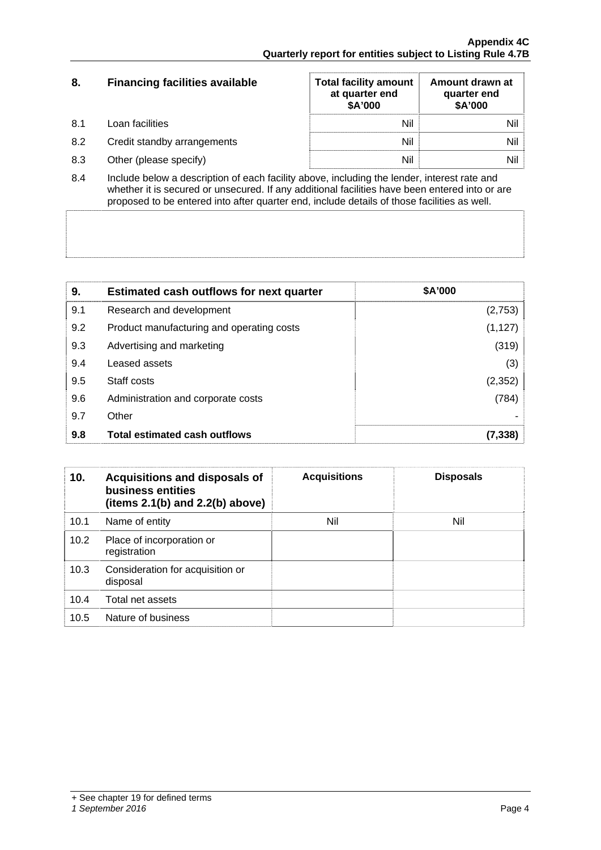| 8.   | <b>Financing facilities available</b> | <b>Total facility amount</b><br>at quarter end<br>\$A'000 | Amount drawn at<br>quarter end<br>\$A'000 |
|------|---------------------------------------|-----------------------------------------------------------|-------------------------------------------|
| -8.1 | Loan facilities                       | Nil                                                       | Nil                                       |
| 8.2  | Credit standby arrangements           | Nil                                                       | Nil                                       |
| 8.3  | Other (please specify)                | Nil                                                       | Nil                                       |

8.4 Include below a description of each facility above, including the lender, interest rate and whether it is secured or unsecured. If any additional facilities have been entered into or are proposed to be entered into after quarter end, include details of those facilities as well.

| 9.  | <b>Estimated cash outflows for next quarter</b> | \$A'000  |
|-----|-------------------------------------------------|----------|
| 9.1 | Research and development                        | (2,753)  |
| 9.2 | Product manufacturing and operating costs       | (1, 127) |
| 9.3 | Advertising and marketing                       | (319)    |
| 9.4 | Leased assets                                   | (3)      |
| 9.5 | Staff costs                                     | (2, 352) |
| 9.6 | Administration and corporate costs              | (784)    |
| 9.7 | Other                                           |          |
| 9.8 | <b>Total estimated cash outflows</b>            | (7, 338) |

| 10.  | <b>Acquisitions and disposals of</b><br>business entities<br>(items $2.1(b)$ and $2.2(b)$ above) | <b>Acquisitions</b> | <b>Disposals</b> |
|------|--------------------------------------------------------------------------------------------------|---------------------|------------------|
| 10.1 | Name of entity                                                                                   | Nil                 | Nil              |
| 10.2 | Place of incorporation or<br>registration                                                        |                     |                  |
| 10.3 | Consideration for acquisition or<br>disposal                                                     |                     |                  |
| 10.4 | Total net assets                                                                                 |                     |                  |
| 10.5 | Nature of business                                                                               |                     |                  |